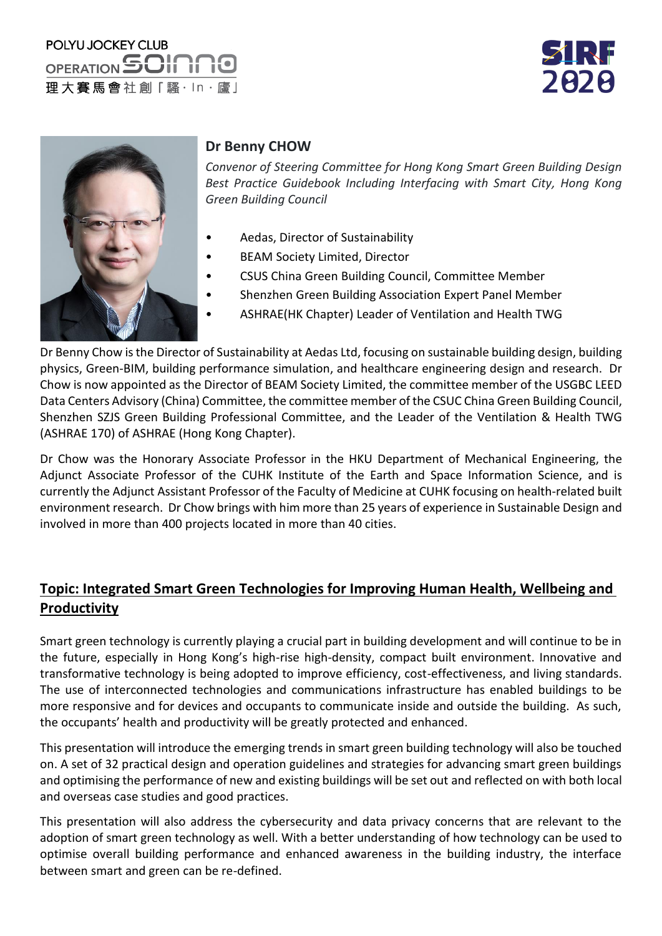# POLYU JOCKEY CLUB OPERATION SOIT 理大賽馬會社創「騷·ln·廬」





#### **Dr Benny CHOW**

*Convenor of Steering Committee for Hong Kong Smart Green Building Design Best Practice Guidebook Including Interfacing with Smart City, Hong Kong Green Building Council*

- Aedas, Director of Sustainability
- BEAM Society Limited, Director
	- CSUS China Green Building Council, Committee Member
- Shenzhen Green Building Association Expert Panel Member
- ASHRAE(HK Chapter) Leader of Ventilation and Health TWG

Dr Benny Chow isthe Director of Sustainability at Aedas Ltd, focusing on sustainable building design, building physics, Green-BIM, building performance simulation, and healthcare engineering design and research. Dr Chow is now appointed as the Director of BEAM Society Limited, the committee member of the USGBC LEED Data Centers Advisory (China) Committee, the committee member of the CSUC China Green Building Council, Shenzhen SZJS Green Building Professional Committee, and the Leader of the Ventilation & Health TWG (ASHRAE 170) of ASHRAE (Hong Kong Chapter).

Dr Chow was the Honorary Associate Professor in the HKU Department of Mechanical Engineering, the Adjunct Associate Professor of the CUHK Institute of the Earth and Space Information Science, and is currently the Adjunct Assistant Professor of the Faculty of Medicine at CUHK focusing on health-related built environment research. Dr Chow brings with him more than 25 years of experience in Sustainable Design and involved in more than 400 projects located in more than 40 cities.

#### **Topic: Integrated Smart Green Technologies for Improving Human Health, Wellbeing and Productivity**

Smart green technology is currently playing a crucial part in building development and will continue to be in the future, especially in Hong Kong's high-rise high-density, compact built environment. Innovative and transformative technology is being adopted to improve efficiency, cost-effectiveness, and living standards. The use of interconnected technologies and communications infrastructure has enabled buildings to be more responsive and for devices and occupants to communicate inside and outside the building. As such, the occupants' health and productivity will be greatly protected and enhanced.

This presentation will introduce the emerging trends in smart green building technology will also be touched on. A set of 32 practical design and operation guidelines and strategies for advancing smart green buildings and optimising the performance of new and existing buildings will be set out and reflected on with both local and overseas case studies and good practices.

This presentation will also address the cybersecurity and data privacy concerns that are relevant to the adoption of smart green technology as well. With a better understanding of how technology can be used to optimise overall building performance and enhanced awareness in the building industry, the interface between smart and green can be re-defined.